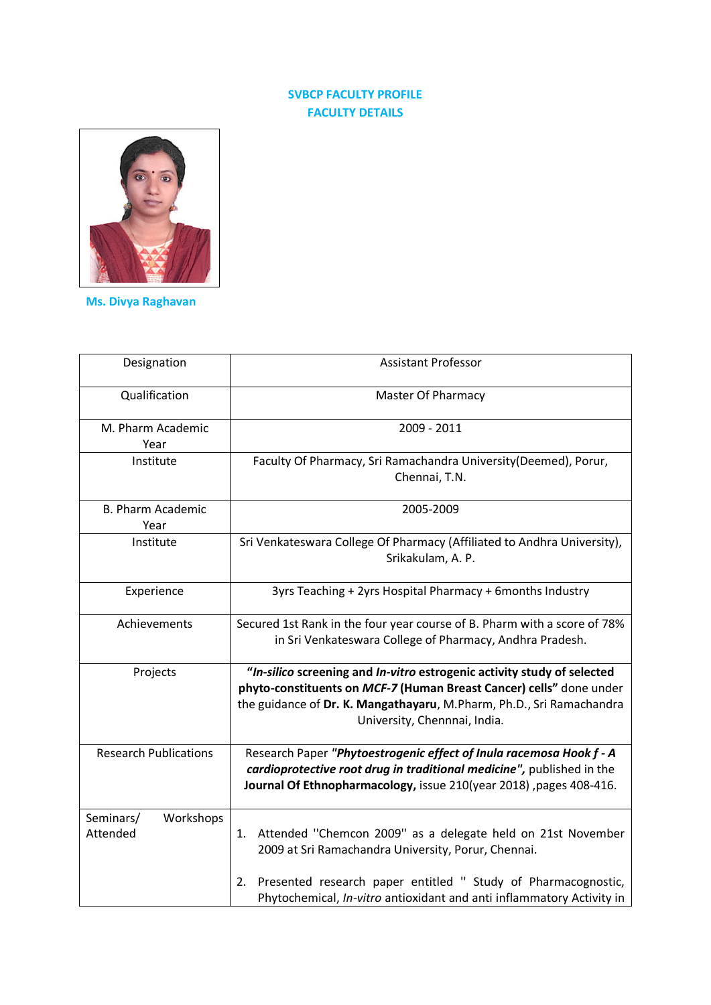## **SVBCP FACULTY PROFILE FACULTY DETAILS**



**Ms. Divya Raghavan**

| Designation                        | <b>Assistant Professor</b>                                                                                                                                                                                                                             |  |
|------------------------------------|--------------------------------------------------------------------------------------------------------------------------------------------------------------------------------------------------------------------------------------------------------|--|
| Qualification                      | <b>Master Of Pharmacy</b>                                                                                                                                                                                                                              |  |
| M. Pharm Academic<br>Year          | 2009 - 2011                                                                                                                                                                                                                                            |  |
| Institute                          | Faculty Of Pharmacy, Sri Ramachandra University (Deemed), Porur,<br>Chennai, T.N.                                                                                                                                                                      |  |
| <b>B. Pharm Academic</b><br>Year   | 2005-2009                                                                                                                                                                                                                                              |  |
| Institute                          | Sri Venkateswara College Of Pharmacy (Affiliated to Andhra University),<br>Srikakulam, A. P.                                                                                                                                                           |  |
| Experience                         | 3yrs Teaching + 2yrs Hospital Pharmacy + 6months Industry                                                                                                                                                                                              |  |
| Achievements                       | Secured 1st Rank in the four year course of B. Pharm with a score of 78%<br>in Sri Venkateswara College of Pharmacy, Andhra Pradesh.                                                                                                                   |  |
| Projects                           | "In-silico screening and In-vitro estrogenic activity study of selected<br>phyto-constituents on MCF-7 (Human Breast Cancer) cells" done under<br>the guidance of Dr. K. Mangathayaru, M.Pharm, Ph.D., Sri Ramachandra<br>University, Chennnai, India. |  |
| <b>Research Publications</b>       | Research Paper "Phytoestrogenic effect of Inula racemosa Hook f - A<br>cardioprotective root drug in traditional medicine", published in the<br>Journal Of Ethnopharmacology, issue 210(year 2018), pages 408-416.                                     |  |
| Seminars/<br>Workshops<br>Attended | Attended "Chemcon 2009" as a delegate held on 21st November<br>1.<br>2009 at Sri Ramachandra University, Porur, Chennai.                                                                                                                               |  |
|                                    | Presented research paper entitled " Study of Pharmacognostic,<br>2.<br>Phytochemical, In-vitro antioxidant and anti inflammatory Activity in                                                                                                           |  |